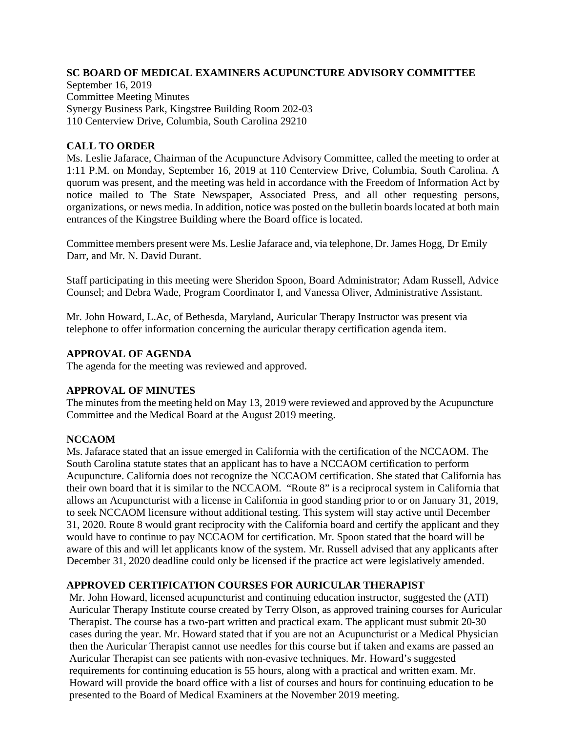## **SC BOARD OF MEDICAL EXAMINERS ACUPUNCTURE ADVISORY COMMITTEE**

September 16, 2019 Committee Meeting Minutes Synergy Business Park, Kingstree Building Room 202-03 110 Centerview Drive, Columbia, South Carolina 29210

## **CALL TO ORDER**

Ms. Leslie Jafarace, Chairman of the Acupuncture Advisory Committee, called the meeting to order at 1:11 P.M. on Monday, September 16, 2019 at 110 Centerview Drive, Columbia, South Carolina. A quorum was present, and the meeting was held in accordance with the Freedom of Information Act by notice mailed to The State Newspaper, Associated Press, and all other requesting persons, organizations, or news media. In addition, notice was posted on the bulletin boards located at both main entrances of the Kingstree Building where the Board office is located.

Committee members present were Ms. Leslie Jafarace and, via telephone, Dr.James Hogg, Dr Emily Darr, and Mr. N. David Durant.

Staff participating in this meeting were Sheridon Spoon, Board Administrator; Adam Russell, Advice Counsel; and Debra Wade, Program Coordinator I, and Vanessa Oliver, Administrative Assistant.

Mr. John Howard, L.Ac, of Bethesda, Maryland, Auricular Therapy Instructor was present via telephone to offer information concerning the auricular therapy certification agenda item.

### **APPROVAL OF AGENDA**

The agenda for the meeting was reviewed and approved.

# **APPROVAL OF MINUTES**

The minutes from the meeting held on May 13, 2019 were reviewed and approved by the Acupuncture Committee and the Medical Board at the August 2019 meeting.

# **NCCAOM**

Ms. Jafarace stated that an issue emerged in California with the certification of the NCCAOM. The South Carolina statute states that an applicant has to have a NCCAOM certification to perform Acupuncture. California does not recognize the NCCAOM certification. She stated that California has their own board that it is similar to the NCCAOM. "Route 8" is a reciprocal system in California that allows an Acupuncturist with a license in California in good standing prior to or on January 31, 2019, to seek NCCAOM licensure without additional testing. This system will stay active until December 31, 2020. Route 8 would grant reciprocity with the California board and certify the applicant and they would have to continue to pay NCCAOM for certification. Mr. Spoon stated that the board will be aware of this and will let applicants know of the system. Mr. Russell advised that any applicants after December 31, 2020 deadline could only be licensed if the practice act were legislatively amended.

### **APPROVED CERTIFICATION COURSES FOR AURICULAR THERAPIST**

Mr. John Howard, licensed acupuncturist and continuing education instructor, suggested the (ATI) Auricular Therapy Institute course created by Terry Olson, as approved training courses for Auricular Therapist. The course has a two-part written and practical exam. The applicant must submit 20-30 cases during the year. Mr. Howard stated that if you are not an Acupuncturist or a Medical Physician then the Auricular Therapist cannot use needles for this course but if taken and exams are passed an Auricular Therapist can see patients with non-evasive techniques. Mr. Howard's suggested requirements for continuing education is 55 hours, along with a practical and written exam. Mr. Howard will provide the board office with a list of courses and hours for continuing education to be presented to the Board of Medical Examiners at the November 2019 meeting.